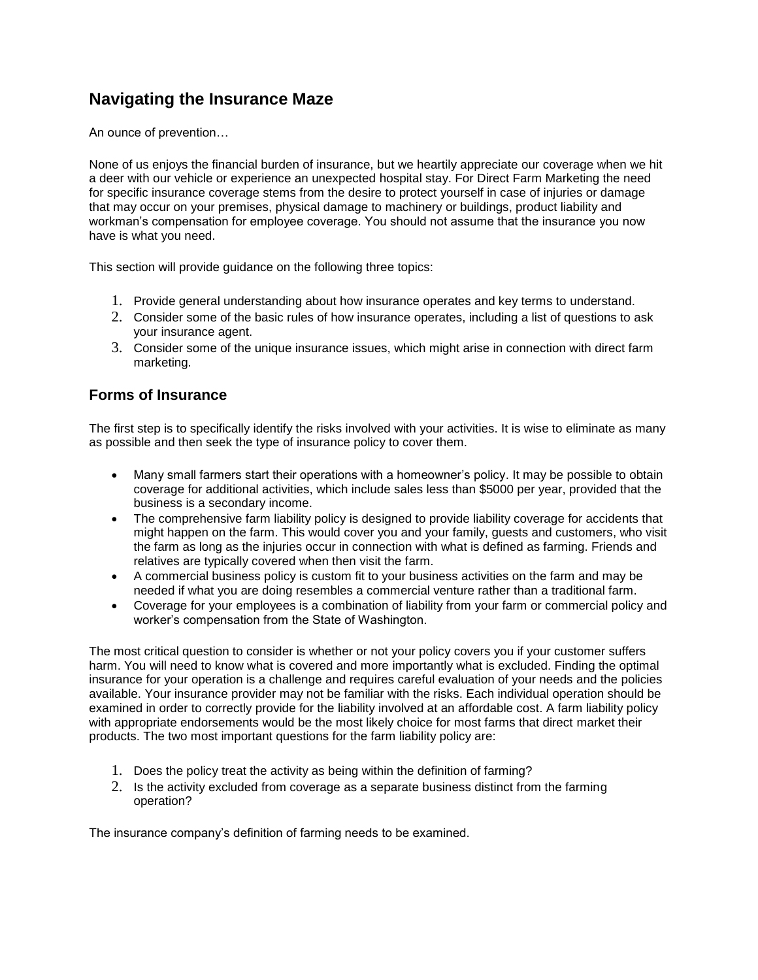# **Navigating the Insurance Maze**

An ounce of prevention…

None of us enjoys the financial burden of insurance, but we heartily appreciate our coverage when we hit a deer with our vehicle or experience an unexpected hospital stay. For Direct Farm Marketing the need for specific insurance coverage stems from the desire to protect yourself in case of injuries or damage that may occur on your premises, physical damage to machinery or buildings, product liability and workman's compensation for employee coverage. You should not assume that the insurance you now have is what you need.

This section will provide guidance on the following three topics:

- 1. Provide general understanding about how insurance operates and key terms to understand.
- 2. Consider some of the basic rules of how insurance operates, including a list of questions to ask your insurance agent.
- 3. Consider some of the unique insurance issues, which might arise in connection with direct farm marketing.

#### **Forms of Insurance**

The first step is to specifically identify the risks involved with your activities. It is wise to eliminate as many as possible and then seek the type of insurance policy to cover them.

- Many small farmers start their operations with a homeowner's policy. It may be possible to obtain coverage for additional activities, which include sales less than \$5000 per year, provided that the business is a secondary income.
- The comprehensive farm liability policy is designed to provide liability coverage for accidents that might happen on the farm. This would cover you and your family, guests and customers, who visit the farm as long as the injuries occur in connection with what is defined as farming. Friends and relatives are typically covered when then visit the farm.
- A commercial business policy is custom fit to your business activities on the farm and may be needed if what you are doing resembles a commercial venture rather than a traditional farm.
- Coverage for your employees is a combination of liability from your farm or commercial policy and worker's compensation from the State of Washington.

The most critical question to consider is whether or not your policy covers you if your customer suffers harm. You will need to know what is covered and more importantly what is excluded. Finding the optimal insurance for your operation is a challenge and requires careful evaluation of your needs and the policies available. Your insurance provider may not be familiar with the risks. Each individual operation should be examined in order to correctly provide for the liability involved at an affordable cost. A farm liability policy with appropriate endorsements would be the most likely choice for most farms that direct market their products. The two most important questions for the farm liability policy are:

- 1. Does the policy treat the activity as being within the definition of farming?
- 2. Is the activity excluded from coverage as a separate business distinct from the farming operation?

The insurance company's definition of farming needs to be examined.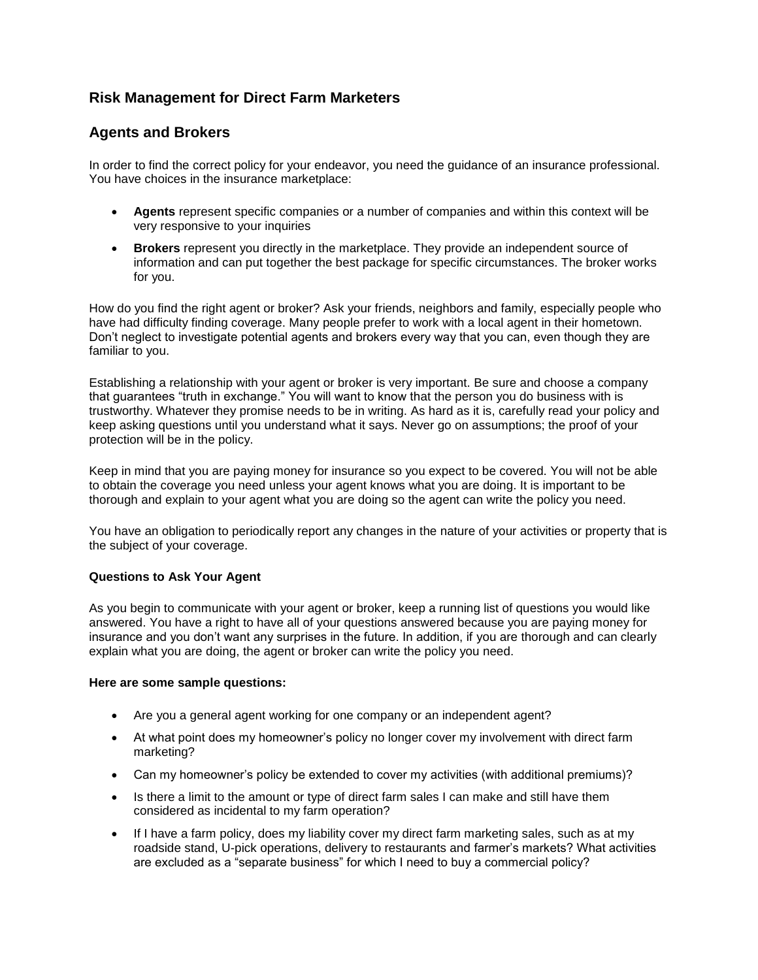## **Risk Management for Direct Farm Marketers**

### **Agents and Brokers**

In order to find the correct policy for your endeavor, you need the guidance of an insurance professional. You have choices in the insurance marketplace:

- **Agents** represent specific companies or a number of companies and within this context will be very responsive to your inquiries
- **Brokers** represent you directly in the marketplace. They provide an independent source of information and can put together the best package for specific circumstances. The broker works for you.

How do you find the right agent or broker? Ask your friends, neighbors and family, especially people who have had difficulty finding coverage. Many people prefer to work with a local agent in their hometown. Don't neglect to investigate potential agents and brokers every way that you can, even though they are familiar to you.

Establishing a relationship with your agent or broker is very important. Be sure and choose a company that guarantees "truth in exchange." You will want to know that the person you do business with is trustworthy. Whatever they promise needs to be in writing. As hard as it is, carefully read your policy and keep asking questions until you understand what it says. Never go on assumptions; the proof of your protection will be in the policy.

Keep in mind that you are paying money for insurance so you expect to be covered. You will not be able to obtain the coverage you need unless your agent knows what you are doing. It is important to be thorough and explain to your agent what you are doing so the agent can write the policy you need.

You have an obligation to periodically report any changes in the nature of your activities or property that is the subject of your coverage.

#### **Questions to Ask Your Agent**

As you begin to communicate with your agent or broker, keep a running list of questions you would like answered. You have a right to have all of your questions answered because you are paying money for insurance and you don't want any surprises in the future. In addition, if you are thorough and can clearly explain what you are doing, the agent or broker can write the policy you need.

#### **Here are some sample questions:**

- Are you a general agent working for one company or an independent agent?
- At what point does my homeowner's policy no longer cover my involvement with direct farm marketing?
- Can my homeowner's policy be extended to cover my activities (with additional premiums)?
- Is there a limit to the amount or type of direct farm sales I can make and still have them considered as incidental to my farm operation?
- If I have a farm policy, does my liability cover my direct farm marketing sales, such as at my roadside stand, U-pick operations, delivery to restaurants and farmer's markets? What activities are excluded as a "separate business" for which I need to buy a commercial policy?